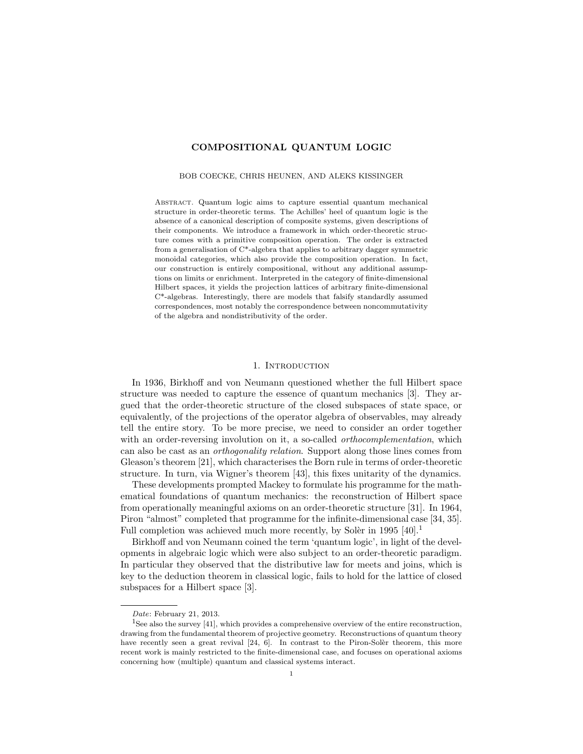# COMPOSITIONAL QUANTUM LOGIC

#### BOB COECKE, CHRIS HEUNEN, AND ALEKS KISSINGER

Abstract. Quantum logic aims to capture essential quantum mechanical structure in order-theoretic terms. The Achilles' heel of quantum logic is the absence of a canonical description of composite systems, given descriptions of their components. We introduce a framework in which order-theoretic structure comes with a primitive composition operation. The order is extracted from a generalisation of C\*-algebra that applies to arbitrary dagger symmetric monoidal categories, which also provide the composition operation. In fact, our construction is entirely compositional, without any additional assumptions on limits or enrichment. Interpreted in the category of finite-dimensional Hilbert spaces, it yields the projection lattices of arbitrary finite-dimensional  $C^*$ -algebras. Interestingly, there are models that falsify standardly assumed correspondences, most notably the correspondence between noncommutativity of the algebra and nondistributivity of the order.

### 1. INTRODUCTION

In 1936, Birkhoff and von Neumann questioned whether the full Hilbert space structure was needed to capture the essence of quantum mechanics [3]. They argued that the order-theoretic structure of the closed subspaces of state space, or equivalently, of the projections of the operator algebra of observables, may already tell the entire story. To be more precise, we need to consider an order together with an order-reversing involution on it, a so-called *orthocomplementation*, which can also be cast as an orthogonality relation. Support along those lines comes from Gleason's theorem [21], which characterises the Born rule in terms of order-theoretic structure. In turn, via Wigner's theorem [43], this fixes unitarity of the dynamics.

These developments prompted Mackey to formulate his programme for the mathematical foundations of quantum mechanics: the reconstruction of Hilbert space from operationally meaningful axioms on an order-theoretic structure [31]. In 1964, Piron "almost" completed that programme for the infinite-dimensional case [34, 35]. Full completion was achieved much more recently, by Soler in 1995  $[40].<sup>1</sup>$ 

Birkhoff and von Neumann coined the term 'quantum logic', in light of the developments in algebraic logic which were also subject to an order-theoretic paradigm. In particular they observed that the distributive law for meets and joins, which is key to the deduction theorem in classical logic, fails to hold for the lattice of closed subspaces for a Hilbert space [3].

Date: February 21, 2013.

<sup>&</sup>lt;sup>1</sup>See also the survey [41], which provides a comprehensive overview of the entire reconstruction, drawing from the fundamental theorem of projective geometry. Reconstructions of quantum theory have recently seen a great revival  $[24, 6]$ . In contrast to the Piron-Solèr theorem, this more recent work is mainly restricted to the finite-dimensional case, and focuses on operational axioms concerning how (multiple) quantum and classical systems interact.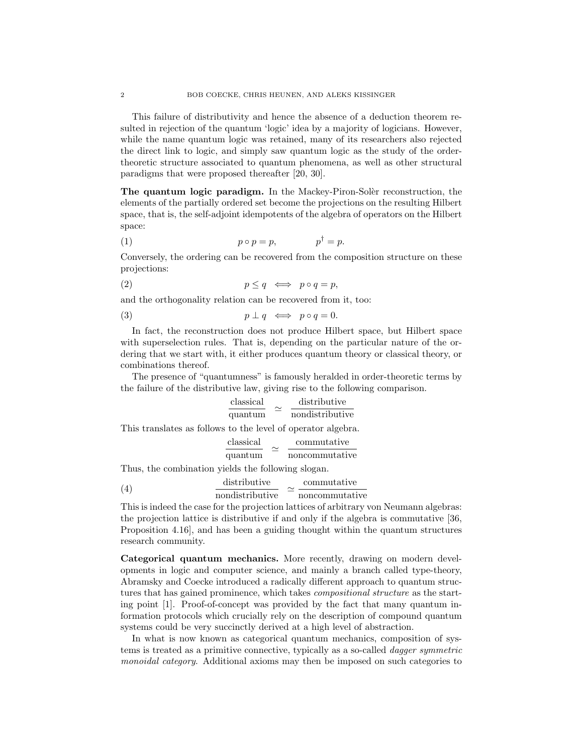This failure of distributivity and hence the absence of a deduction theorem resulted in rejection of the quantum 'logic' idea by a majority of logicians. However, while the name quantum logic was retained, many of its researchers also rejected the direct link to logic, and simply saw quantum logic as the study of the ordertheoretic structure associated to quantum phenomena, as well as other structural paradigms that were proposed thereafter [20, 30].

The quantum logic paradigm. In the Mackey-Piron-Soler reconstruction, the elements of the partially ordered set become the projections on the resulting Hilbert space, that is, the self-adjoint idempotents of the algebra of operators on the Hilbert space:

$$
(1) \t\t\t p \circ p = p, \t\t p^{\dagger} = p.
$$

Conversely, the ordering can be recovered from the composition structure on these projections:

$$
(2) \t\t\t\t\t p \leq q \iff p \circ q = p,
$$

and the orthogonality relation can be recovered from it, too:

$$
(3) \t\t\t p \perp q \iff p \circ q = 0.
$$

In fact, the reconstruction does not produce Hilbert space, but Hilbert space with superselection rules. That is, depending on the particular nature of the ordering that we start with, it either produces quantum theory or classical theory, or combinations thereof.

The presence of "quantumness" is famously heralded in order-theoretic terms by the failure of the distributive law, giving rise to the following comparison.

classical  
quantum 
$$
\approx
$$
  $\frac{\text{distributive}}{\text{nondistributive}}$ 

This translates as follows to the level of operator algebra.

$$
\frac{\text{classical}}{\text{quantum}} \quad \simeq \quad \frac{\text{commutative}}{\text{noncommutative}}
$$

Thus, the combination yields the following slogan.

(4) distributive  
\n*nondistributive* 
$$
\simeq \frac{\text{commutative}}{\text{noncommutative}}
$$

This is indeed the case for the projection lattices of arbitrary von Neumann algebras: the projection lattice is distributive if and only if the algebra is commutative [36, Proposition 4.16], and has been a guiding thought within the quantum structures research community.

Categorical quantum mechanics. More recently, drawing on modern developments in logic and computer science, and mainly a branch called type-theory, Abramsky and Coecke introduced a radically different approach to quantum structures that has gained prominence, which takes compositional structure as the starting point [1]. Proof-of-concept was provided by the fact that many quantum information protocols which crucially rely on the description of compound quantum systems could be very succinctly derived at a high level of abstraction.

In what is now known as categorical quantum mechanics, composition of systems is treated as a primitive connective, typically as a so-called dagger symmetric monoidal category. Additional axioms may then be imposed on such categories to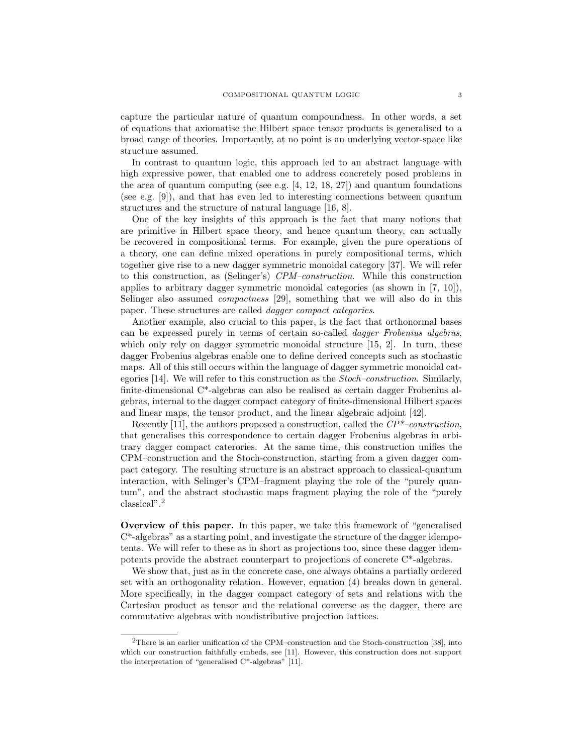capture the particular nature of quantum compoundness. In other words, a set of equations that axiomatise the Hilbert space tensor products is generalised to a broad range of theories. Importantly, at no point is an underlying vector-space like structure assumed.

In contrast to quantum logic, this approach led to an abstract language with high expressive power, that enabled one to address concretely posed problems in the area of quantum computing (see e.g.  $[4, 12, 18, 27]$ ) and quantum foundations (see e.g. [9]), and that has even led to interesting connections between quantum structures and the structure of natural language [16, 8].

One of the key insights of this approach is the fact that many notions that are primitive in Hilbert space theory, and hence quantum theory, can actually be recovered in compositional terms. For example, given the pure operations of a theory, one can define mixed operations in purely compositional terms, which together give rise to a new dagger symmetric monoidal category [37]. We will refer to this construction, as (Selinger's) CPM–construction. While this construction applies to arbitrary dagger symmetric monoidal categories (as shown in [7, 10]), Selinger also assumed compactness [29], something that we will also do in this paper. These structures are called dagger compact categories.

Another example, also crucial to this paper, is the fact that orthonormal bases can be expressed purely in terms of certain so-called dagger Frobenius algebras, which only rely on dagger symmetric monoidal structure [15, 2]. In turn, these dagger Frobenius algebras enable one to define derived concepts such as stochastic maps. All of this still occurs within the language of dagger symmetric monoidal categories [14]. We will refer to this construction as the Stoch–construction. Similarly, finite-dimensional C\*-algebras can also be realised as certain dagger Frobenius algebras, internal to the dagger compact category of finite-dimensional Hilbert spaces and linear maps, the tensor product, and the linear algebraic adjoint [42].

Recently [11], the authors proposed a construction, called the  $\mathbb{CP}^*$ -construction, that generalises this correspondence to certain dagger Frobenius algebras in arbitrary dagger compact caterories. At the same time, this construction unifies the CPM–construction and the Stoch-construction, starting from a given dagger compact category. The resulting structure is an abstract approach to classical-quantum interaction, with Selinger's CPM–fragment playing the role of the "purely quantum", and the abstract stochastic maps fragment playing the role of the "purely classical".<sup>2</sup>

Overview of this paper. In this paper, we take this framework of "generalised C\*-algebras" as a starting point, and investigate the structure of the dagger idempotents. We will refer to these as in short as projections too, since these dagger idempotents provide the abstract counterpart to projections of concrete C\*-algebras.

We show that, just as in the concrete case, one always obtains a partially ordered set with an orthogonality relation. However, equation (4) breaks down in general. More specifically, in the dagger compact category of sets and relations with the Cartesian product as tensor and the relational converse as the dagger, there are commutative algebras with nondistributive projection lattices.

<sup>2</sup>There is an earlier unification of the CPM–construction and the Stoch-construction [38], into which our construction faithfully embeds, see [11]. However, this construction does not support the interpretation of "generalised C\*-algebras" [11].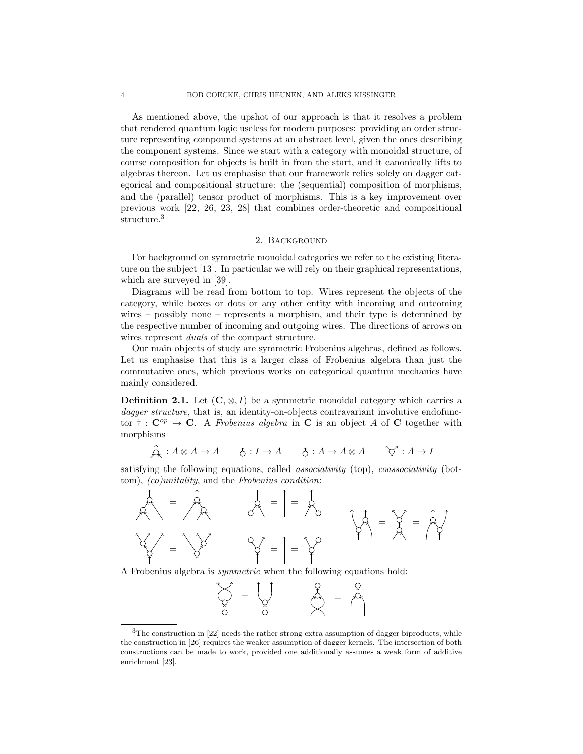As mentioned above, the upshot of our approach is that it resolves a problem that rendered quantum logic useless for modern purposes: providing an order structure representing compound systems at an abstract level, given the ones describing the component systems. Since we start with a category with monoidal structure, of course composition for objects is built in from the start, and it canonically lifts to algebras thereon. Let us emphasise that our framework relies solely on dagger categorical and compositional structure: the (sequential) composition of morphisms, and the (parallel) tensor product of morphisms. This is a key improvement over previous work [22, 26, 23, 28] that combines order-theoretic and compositional structure.<sup>3</sup>

#### 2. Background

For background on symmetric monoidal categories we refer to the existing literature on the subject [13]. In particular we will rely on their graphical representations, which are surveyed in [39].

Diagrams will be read from bottom to top. Wires represent the objects of the category, while boxes or dots or any other entity with incoming and outcoming wires – possibly none – represents a morphism, and their type is determined by the respective number of incoming and outgoing wires. The directions of arrows on wires represent *duals* of the compact structure.

Our main objects of study are symmetric Frobenius algebras, defined as follows. Let us emphasise that this is a larger class of Frobenius algebra than just the commutative ones, which previous works on categorical quantum mechanics have mainly considered.

**Definition 2.1.** Let  $(C, \otimes, I)$  be a symmetric monoidal category which carries a dagger structure, that is, an identity-on-objects contravariant involutive endofunctor  $\dagger : \mathbf{C}^{op} \to \mathbf{C}$ . A Frobenius algebra in C is an object A of C together with morphisms

$$
\mathop{\text{A}}\limits^{\bullet} : A \otimes A \to A \qquad \mathop{\text{A}}\limits^{\bullet} : I \to A \qquad \mathop{\text{A}}\limits^{\bullet} : A \to A \otimes A \qquad \mathop{\text{A}}\limits^{\bullet} \mathop{\text{A}}\limits^{\bullet} : A \to I
$$

satisfying the following equations, called *associativity* (top), *coassociativity* (bottom), (co)unitality, and the Frobenius condition:



A Frobenius algebra is symmetric when the following equations hold:

| ᄾ | = |  |
|---|---|--|
|   |   |  |

 $3$ The construction in [22] needs the rather strong extra assumption of dagger biproducts, while the construction in [26] requires the weaker assumption of dagger kernels. The intersection of both constructions can be made to work, provided one additionally assumes a weak form of additive enrichment [23].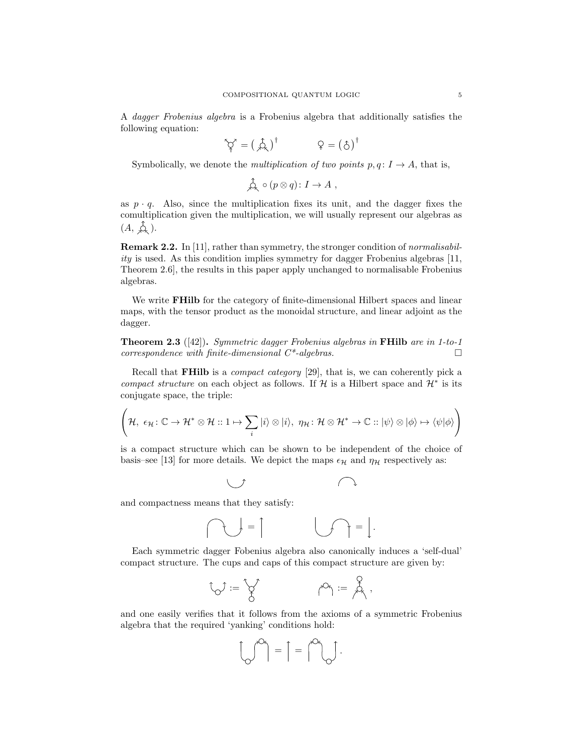A dagger Frobenius algebra is a Frobenius algebra that additionally satisfies the following equation:

$$
\hat{\varphi}^{\prime} = \left(\begin{array}{c} \hat{\mathcal{A}} \end{array}\right)^{\dagger} \qquad \qquad \varphi = \left(\begin{array}{c} \hat{\mathcal{A}} \end{array}\right)^{\dagger}
$$

Symbolically, we denote the *multiplication of two points*  $p, q: I \rightarrow A$ , that is,

$$
\mathop{\mathcal{A}}\limits^{\mathcal{A}} \circ (p \otimes q) \colon I \to A ,
$$

as  $p \cdot q$ . Also, since the multiplication fixes its unit, and the dagger fixes the comultiplication given the multiplication, we will usually represent our algebras as  $(A, \overrightarrow{A},).$ 

Remark 2.2. In [11], rather than symmetry, the stronger condition of normalisabil $ity$  is used. As this condition implies symmetry for dagger Frobenius algebras [11, Theorem 2.6], the results in this paper apply unchanged to normalisable Frobenius algebras.

We write **FHilb** for the category of finite-dimensional Hilbert spaces and linear maps, with the tensor product as the monoidal structure, and linear adjoint as the dagger.

**Theorem 2.3** ([42]). Symmetric dagger Frobenius algebras in **FHilb** are in 1-to-1  $correspondence with finite-dimensional C*-algebras.$ 

Recall that FHilb is a compact category [29], that is, we can coherently pick a compact structure on each object as follows. If  $H$  is a Hilbert space and  $H^*$  is its conjugate space, the triple:

$$
\left(\mathcal{H}, \ \epsilon_{\mathcal{H}}\colon \mathbb{C}\to \mathcal{H}^*\otimes \mathcal{H} \colon \mathbb{1}\mapsto \sum_i\ket{i}\otimes\ket{i}, \ \eta_{\mathcal{H}}\colon \mathcal{H}\otimes \mathcal{H}^*\to \mathbb{C}\colon \ket{\psi}\otimes\ket{\phi}\mapsto \langle\psi|\phi\rangle\right)
$$

is a compact structure which can be shown to be independent of the choice of basis–see [13] for more details. We depict the maps  $\epsilon_{\mathcal{H}}$  and  $\eta_{\mathcal{H}}$  respectively as:

$$
\cup \qquad \qquad \cap
$$

and compactness means that they satisfy:

$$
\text{supp} \quad \text{supp} \quad \text{supp} \quad \text{supp} \quad \text{supp} \quad \text{supp} \quad \text{supp} \quad \text{supp} \quad \text{supp} \quad \text{supp} \quad \text{supp} \quad \text{supp} \quad \text{supp} \quad \text{supp} \quad \text{supp} \quad \text{supp} \quad \text{supp} \quad \text{supp} \quad \text{supp} \quad \text{supp} \quad \text{supp} \quad \text{supp} \quad \text{supp} \quad \text{supp} \quad \text{supp} \quad \text{supp} \quad \text{supp} \quad \text{supp} \quad \text{supp} \quad \text{supp} \quad \text{supp} \quad \text{supp} \quad \text{supp} \quad \text{supp} \quad \text{supp} \quad \text{supp} \quad \text{supp} \quad \text{supp} \quad \text{supp} \quad \text{supp} \quad \text{supp} \quad \text{supp} \quad \text{supp} \quad \text{supp} \quad \text{supp} \quad \text{supp} \quad \text{supp} \quad \text{supp} \quad \text{supp} \quad \text{supp} \quad \text{supp} \quad \text{supp} \quad \text{supp} \quad \text{supp} \quad \text{supp} \quad \text{supp} \quad \text{supp} \quad \text{supp} \quad \text{supp} \quad \text{supp} \quad \text{supp} \quad \text{supp} \quad \text{supp} \quad \text{supp} \quad \text{supp} \quad \text{supp} \quad \text{supp} \quad \text{supp} \quad \text{supp} \quad \text{supp} \quad \text{supp} \quad \text{supp} \quad \text{supp} \quad \text{supp} \quad \text{supp} \quad \text{supp} \quad \text{supp} \quad \text{supp} \quad \text{supp} \quad \text{supp} \quad \text{supp} \quad \text{supp} \quad \text{supp} \quad \text{supp} \quad \text{supp} \quad \text{supp} \quad \text{supp} \quad \text{supp} \quad \text{supp} \quad \text{supp} \quad \text{supp} \quad \text{supp} \quad \text{supp} \quad \text{supp} \quad \text{supp} \quad
$$

Each symmetric dagger Fobenius algebra also canonically induces a 'self-dual' compact structure. The cups and caps of this compact structure are given by:

$$
{}^t\!{\mathcal{O}}^j:=\bigvee_{\beta} \qquad \qquad \rho\circ_{\!\!j}:=\bigwedge_{\beta} \;,\qquad
$$

and one easily verifies that it follows from the axioms of a symmetric Frobenius algebra that the required 'yanking' conditions hold:

= = .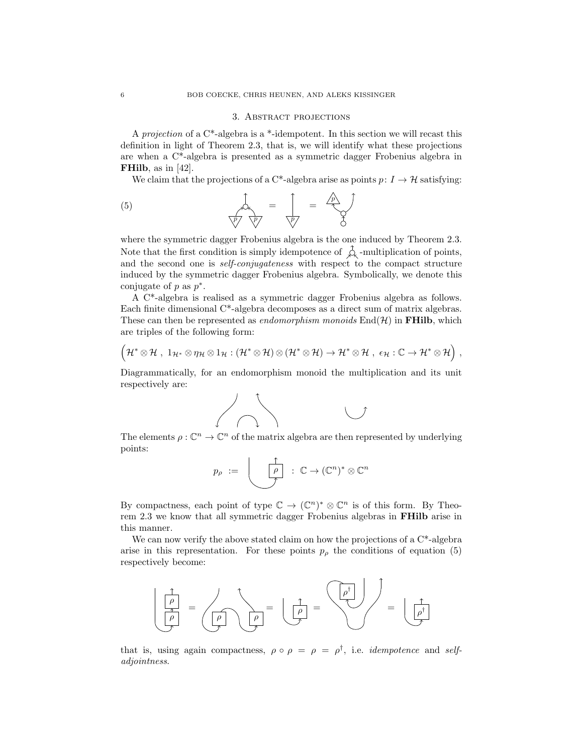### 3. Abstract projections

A projection of a  $C^*$ -algebra is a  $*$ -idempotent. In this section we will recast this definition in light of Theorem 2.3, that is, we will identify what these projections are when a C\*-algebra is presented as a symmetric dagger Frobenius algebra in FHilb, as in [42].

We claim that the projections of a C\*-algebra arise as points  $p: I \to \mathcal{H}$  satisfying:

(5) = p p p = p

where the symmetric dagger Frobenius algebra is the one induced by Theorem 2.3. Note that the first condition is simply idempotence of  $\hat{\mathcal{L}}$  -multiplication of points, and the second one is self-conjugateness with respect to the compact structure induced by the symmetric dagger Frobenius algebra. Symbolically, we denote this conjugate of  $p$  as  $p^*$ .

A C\*-algebra is realised as a symmetric dagger Frobenius algebra as follows. Each finite dimensional C\*-algebra decomposes as a direct sum of matrix algebras. These can then be represented as *endomorphism monoids*  $\text{End}(\mathcal{H})$  in **FHilb**, which are triples of the following form:

$$
\Big({\mathcal H}^* \otimes {\mathcal H}\,\, ,\,\, 1_{{\mathcal H}^*} \otimes \eta_{\mathcal H} \otimes 1_{\mathcal H}: ({\mathcal H}^* \otimes {\mathcal H}) \otimes ({\mathcal H}^* \otimes {\mathcal H}) \to {\mathcal H}^* \otimes {\mathcal H}\,\, ,\,\, \varepsilon_{\mathcal H}: {\mathbb C} \to {\mathcal H}^* \otimes {\mathcal H} \Big)\,\, ,
$$

Diagrammatically, for an endomorphism monoid the multiplication and its unit respectively are:



The elements  $\rho : \mathbb{C}^n \to \mathbb{C}^n$  of the matrix algebra are then represented by underlying points:

$$
p_{\rho} := \left\lfloor \begin{array}{c} \uparrow \\ \hline \rho \\ \hline \end{array} \right\rfloor : \mathbb{C} \to (\mathbb{C}^n)^* \otimes \mathbb{C}^n
$$

By compactness, each point of type  $\mathbb{C} \to (\mathbb{C}^n)^* \otimes \mathbb{C}^n$  is of this form. By Theorem 2.3 we know that all symmetric dagger Frobenius algebras in FHilb arise in this manner.

We can now verify the above stated claim on how the projections of a  $C^*$ -algebra arise in this representation. For these points  $p<sub>\rho</sub>$  the conditions of equation (5) respectively become:



that is, using again compactness,  $\rho \circ \rho = \rho = \rho^{\dagger}$ , i.e. *idempotence* and *self*adjointness.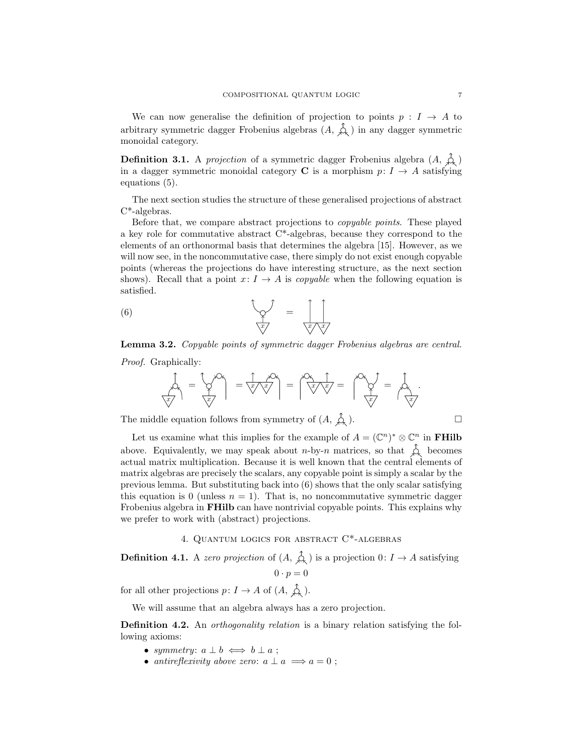We can now generalise the definition of projection to points  $p: I \rightarrow A$  to arbitrary symmetric dagger Frobenius algebras  $(A, \hat{\mathcal{A}})$  in any dagger symmetric monoidal category.

**Definition 3.1.** A projection of a symmetric dagger Frobenius algebra  $(A, \n\zeta)$ in a dagger symmetric monoidal category C is a morphism  $p: I \rightarrow A$  satisfying equations (5).

The next section studies the structure of these generalised projections of abstract C\*-algebras.

Before that, we compare abstract projections to copyable points. These played a key role for commutative abstract C\*-algebras, because they correspond to the elements of an orthonormal basis that determines the algebra [15]. However, as we will now see, in the noncommutative case, there simply do not exist enough copyable points (whereas the projections do have interesting structure, as the next section shows). Recall that a point  $x: I \to A$  is *copyable* when the following equation is satisfied.

(6) = x x x

Lemma 3.2. Copyable points of symmetric dagger Frobenius algebras are central. Proof. Graphically:

$$
\mathcal{A}_{\mathcal{A}} = \left(\mathcal{A}_{\mathcal{A}}\right)^{2} = \left(\mathcal{A}_{\mathcal{A}}\right)^{2} = \left(\mathcal{A}_{\mathcal{A}}\right)^{2} = \left(\mathcal{A}_{\mathcal{A}}\right)^{2} = \left(\mathcal{A}_{\mathcal{A}}\right)^{2} = \left(\mathcal{A}_{\mathcal{A}}\right)^{2} = \mathcal{A}_{\mathcal{A}}.
$$

The middle equation follows from symmetry of  $(A, \hat{\uparrow}_{\lambda})$ .

Let us examine what this implies for the example of  $A = (\mathbb{C}^n)^* \otimes \mathbb{C}^n$  in **FHilb** above. Equivalently, we may speak about *n*-by-*n* matrices, so that  $\hat{\mathcal{L}}$  becomes actual matrix multiplication. Because it is well known that the central elements of matrix algebras are precisely the scalars, any copyable point is simply a scalar by the previous lemma. But substituting back into  $(6)$  shows that the only scalar satisfying this equation is 0 (unless  $n = 1$ ). That is, no noncommutative symmetric dagger Frobenius algebra in FHilb can have nontrivial copyable points. This explains why we prefer to work with (abstract) projections.

# 4. Quantum logics for abstract C\*-algebras

**Definition 4.1.** A zero projection of  $(A, \hat{A})$  is a projection  $0: I \to A$  satisfying  $0 \cdot p = 0$ 

for all other projections  $p: I \to A$  of  $(A, \xrightarrow{\uparrow} A)$ .

We will assume that an algebra always has a zero projection.

**Definition 4.2.** An *orthogonality relation* is a binary relation satisfying the following axioms:

- symmetry:  $a \perp b \iff b \perp a$ ;
- antireflexivity above zero:  $a \perp a \implies a = 0$ ;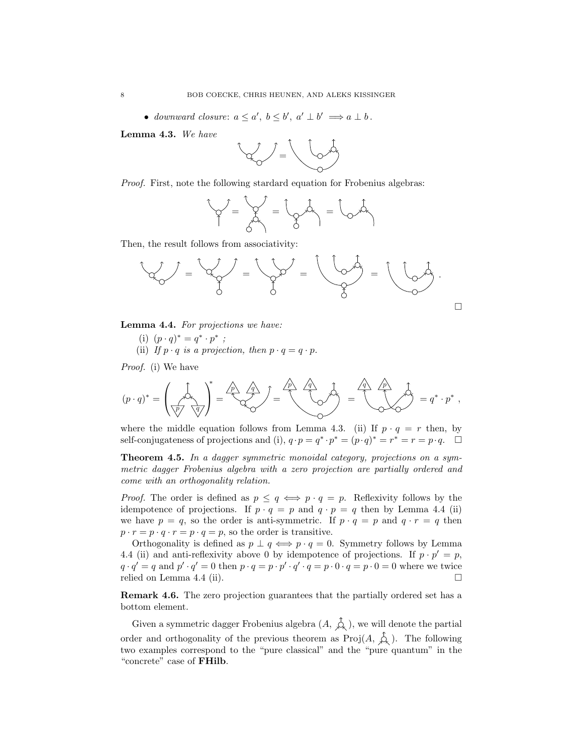• downward closure:  $a \leq a'$ ,  $b \leq b'$ ,  $a' \perp b' \implies a \perp b$ .

Lemma 4.3. We have



Proof. First, note the following stardard equation for Frobenius algebras:

$$
\begin{matrix}\n\mathbf{r} & \mathbf{r} \\
\mathbf{r} & \mathbf{r} \\
\mathbf{r} & \mathbf{r}\n\end{matrix}
$$

Then, the result follows from associativity:



Lemma 4.4. For projections we have:

(i)  $(p \cdot q)^* = q^* \cdot p^*$ ; (ii) If  $p \cdot q$  is a projection, then  $p \cdot q = q \cdot p$ .

Proof. (i) We have

$$
(p \cdot q)^* = \left(\bigotimes_{p \mid q} \bigotimes_{q \mid q}^* \bigotimes_{p \mid q}^* \bigotimes_{p \mid q} \bigotimes_{p \mid q}^* \bigotimes_{p \mid q}^* \bigotimes_{p \mid q}^* \bigotimes_{p \mid q}^* \bigotimes_{p \mid q}^* \bigotimes_{p \mid q}^* \bigotimes_{p}^* \bigotimes_{p}^* \bigotimes_{p}^* \bigotimes_{p}^* \bigotimes_{p}^* \bigotimes_{p}^* \bigotimes_{p}^* \bigotimes_{p}^* \bigotimes_{p}^* \bigotimes_{p}^* \bigotimes_{p}^* \bigotimes_{p}^* \bigotimes_{p}^* \bigotimes_{p}^* \bigotimes_{p}^* \bigotimes_{p}^* \bigotimes_{p}^* \bigotimes_{p}^* \bigotimes_{p}^* \bigotimes_{p}^* \bigotimes_{p}^* \bigotimes_{p}^* \bigotimes_{p}^* \bigotimes_{p}^* \bigotimes_{p}^* \bigotimes_{p}^* \bigotimes_{p}^* \bigotimes_{p}^* \bigotimes_{p}^* \bigotimes_{p}^* \bigotimes_{p}^* \bigotimes_{p}^* \bigotimes_{p}^* \bigotimes_{p}^* \bigotimes_{p}^* \bigotimes_{p}^* \bigotimes_{p}^* \bigotimes_{p}^* \bigotimes_{p}^* \bigotimes_{p}^* \bigotimes_{p}^* \bigotimes_{p}^* \bigotimes_{p}^* \bigotimes_{p}^* \bigotimes_{p}^* \bigotimes_{p}^* \bigotimes_{p}^* \bigotimes_{p}^* \bigotimes_{p}^* \bigotimes_{p}^* \bigotimes_{p}^* \bigotimes_{p}^* \bigotimes_{p}^* \bigotimes_{p}^* \bigotimes_{p}^* \bigotimes_{p}^* \bigotimes_{p}^* \bigotimes_{p}^* \bigotimes_{p}^* \bigotimes_{p}^* \bigotimes_{p}^* \bigotimes_{p}^* \bigotimes_{p}^* \bigotimes_{p}^* \bigotimes_{p}^* \bigotimes_{p}^* \bigotimes_{p}^* \bigotimes_{p}^* \bigotimes_{p}^* \bigotimes_{p}^* \bigotimes
$$

where the middle equation follows from Lemma 4.3. (ii) If  $p \cdot q = r$  then, by self-conjugateness of projections and (i),  $q \cdot p = q^* \cdot p^* = (p \cdot q)^* = r^* = r = p \cdot q$ .  $\Box$ 

Theorem 4.5. In a dagger symmetric monoidal category, projections on a symmetric dagger Frobenius algebra with a zero projection are partially ordered and come with an orthogonality relation.

*Proof.* The order is defined as  $p \leq q \iff p \cdot q = p$ . Reflexivity follows by the idempotence of projections. If  $p \cdot q = p$  and  $q \cdot p = q$  then by Lemma 4.4 (ii) we have  $p = q$ , so the order is anti-symmetric. If  $p \cdot q = p$  and  $q \cdot r = q$  then  $p \cdot r = p \cdot q \cdot r = p \cdot q = p$ , so the order is transitive.

Orthogonality is defined as  $p \perp q \iff p \cdot q = 0$ . Symmetry follows by Lemma 4.4 (ii) and anti-reflexivity above 0 by idempotence of projections. If  $p \cdot p' = p$ ,  $q \cdot q' = q$  and  $p' \cdot q' = 0$  then  $p \cdot q = p \cdot p' \cdot q' \cdot q = p \cdot 0 \cdot q = p \cdot 0 = 0$  where we twice relied on Lemma 4.4 (ii).

Remark 4.6. The zero projection guarantees that the partially ordered set has a bottom element.

Given a symmetric dagger Frobenius algebra  $(A, \overrightarrow{\mathcal{A}})$ , we will denote the partial order and orthogonality of the previous theorem as  $Proj(A, \hat{\mathcal{A}})$ . The following two examples correspond to the "pure classical" and the "pure quantum" in the "concrete" case of FHilb.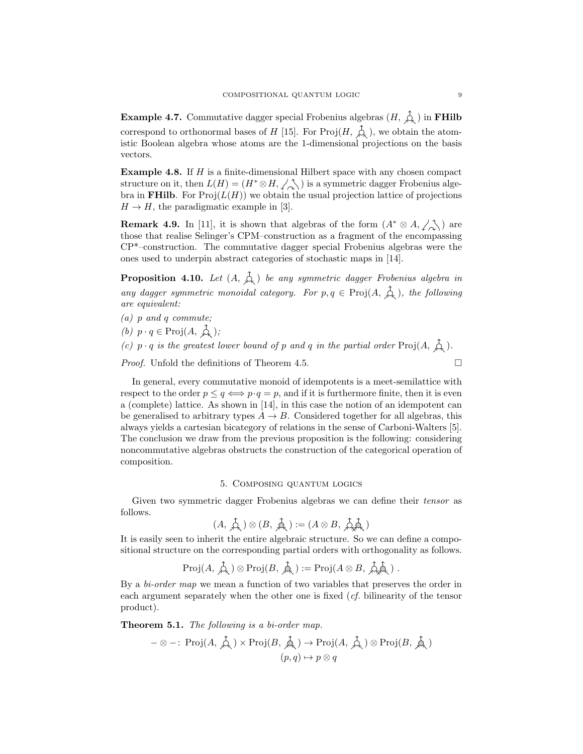**Example 4.7.** Commutative dagger special Frobenius algebras  $(H, \overrightarrow{\mathcal{L}})$  in **FHilb** correspond to orthonormal bases of H [15]. For  $\text{Proj}(H, \phi)$ , we obtain the atomistic Boolean algebra whose atoms are the 1-dimensional projections on the basis vectors.

Example 4.8. If H is a finite-dimensional Hilbert space with any chosen compact structure on it, then  $L(H) = (H^* \otimes H, \angle \wedge)$  is a symmetric dagger Frobenius algebra in FHilb. For  $Proj(L(H))$  we obtain the usual projection lattice of projections  $H \to H$ , the paradigmatic example in [3].

**Remark 4.9.** In [11], it is shown that algebras of the form  $(A^* \otimes A, \angle \wedge)$  are those that realise Selinger's CPM–construction as a fragment of the encompassing CP\*–construction. The commutative dagger special Frobenius algebras were the ones used to underpin abstract categories of stochastic maps in [14].

**Proposition 4.10.** Let  $(A, \overrightarrow{A})$  be any symmetric dagger Frobenius algebra in any dagger symmetric monoidal category. For  $p, q \in \text{Proj}(A, \hat{A})$ , the following are equivalent:

- (a) p and q commute;
- (b)  $p \cdot q \in \text{Proj}(A, \overrightarrow{\mathcal{A}});$

(c)  $p \cdot q$  is the greatest lower bound of p and q in the partial order  $\text{Proj}(A, \hat{\phi})$ .

*Proof.* Unfold the definitions of Theorem 4.5.

In general, every commutative monoid of idempotents is a meet-semilattice with respect to the order  $p \le q \iff p \cdot q = p$ , and if it is furthermore finite, then it is even a (complete) lattice. As shown in [14], in this case the notion of an idempotent can be generalised to arbitrary types  $A \rightarrow B$ . Considered together for all algebras, this always yields a cartesian bicategory of relations in the sense of Carboni-Walters [5]. The conclusion we draw from the previous proposition is the following: considering noncommutative algebras obstructs the construction of the categorical operation of composition.

## 5. Composing quantum logics

Given two symmetric dagger Frobenius algebras we can define their tensor as follows.

$$
(A,\,\mathop{\mathcal{A}}\limits^{\Lambda}_{\mathcal{A}_{\mathcal{A}}}) \otimes (B,\,\mathop{\mathcal{A}}\limits^{\Lambda}_{\mathcal{A}_{\mathcal{A}}}) := (A \otimes B,\,\mathop{\mathcal{A}}\limits^{\Lambda}_{\mathcal{A}_{\mathcal{A}}}\mathop{\mathcal{A}}\limits^{\Lambda}_{\mathcal{A}})
$$

It is easily seen to inherit the entire algebraic structure. So we can define a compositional structure on the corresponding partial orders with orthogonality as follows.

$$
\mathrm{Proj}(A, \overrightarrow{\mathcal{A}}) \otimes \mathrm{Proj}(B, \overrightarrow{\mathcal{A}}) := \mathrm{Proj}(A \otimes B, \overrightarrow{\mathcal{A}}\overrightarrow{\mathcal{A}}).
$$

By a *bi-order map* we mean a function of two variables that preserves the order in each argument separately when the other one is fixed (cf. bilinearity of the tensor product).

Theorem 5.1. The following is a bi-order map.

$$
-\otimes -\colon \operatorname{Proj}(A, \overrightarrow{\mathcal{A}}) \times \operatorname{Proj}(B, \overrightarrow{\mathcal{A}}) \to \operatorname{Proj}(A, \overrightarrow{\mathcal{A}}) \otimes \operatorname{Proj}(B, \overrightarrow{\mathcal{A}})
$$

$$
(p, q) \mapsto p \otimes q
$$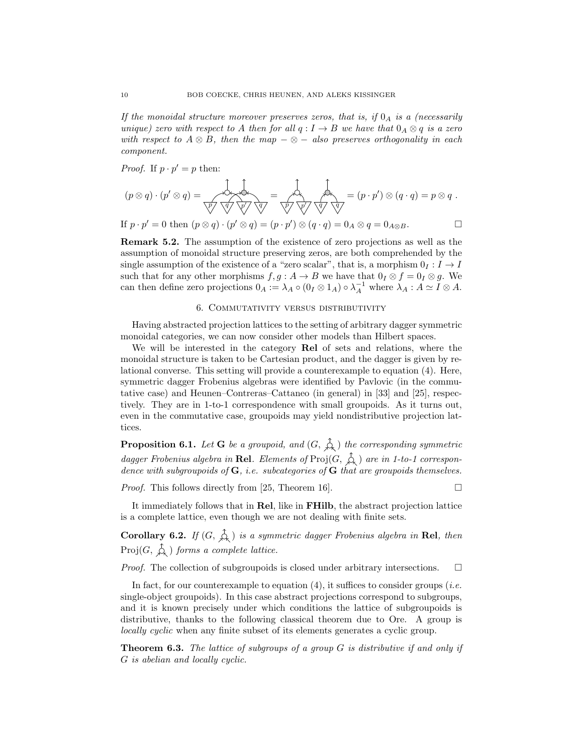If the monoidal structure moreover preserves zeros, that is, if  $0_A$  is a (necessarily unique) zero with respect to A then for all  $q: I \to B$  we have that  $0_A \otimes q$  is a zero with respect to  $A \otimes B$ , then the map  $-\otimes -$  also preserves orthogonality in each component.

*Proof.* If  $p \cdot p' = p$  then:

(p ⊗ q) · (p <sup>0</sup> ⊗ q) = p p q <sup>0</sup> q = p p <sup>0</sup> q q = (p · p 0 ) ⊗ (q · q) = p ⊗ q .

If  $p \cdot p' = 0$  then  $(p \otimes q) \cdot (p' \otimes q) = (p \cdot p') \otimes (q \cdot q) = 0_A \otimes q = 0_{A \otimes B}$ .

Remark 5.2. The assumption of the existence of zero projections as well as the assumption of monoidal structure preserving zeros, are both comprehended by the single assumption of the existence of a "zero scalar", that is, a morphism  $0<sub>I</sub> : I \rightarrow I$ such that for any other morphisms  $f, g : A \to B$  we have that  $0_I \otimes f = 0_I \otimes g$ . We can then define zero projections  $0_A := \lambda_A \circ (0_I \otimes 1_A) \circ \lambda_A^{-1}$  where  $\lambda_A : A \simeq I \otimes A$ .

# 6. Commutativity versus distributivity

Having abstracted projection lattices to the setting of arbitrary dagger symmetric monoidal categories, we can now consider other models than Hilbert spaces.

We will be interested in the category Rel of sets and relations, where the monoidal structure is taken to be Cartesian product, and the dagger is given by relational converse. This setting will provide a counterexample to equation (4). Here, symmetric dagger Frobenius algebras were identified by Pavlovic (in the commutative case) and Heunen–Contreras–Cattaneo (in general) in [33] and [25], respectively. They are in 1-to-1 correspondence with small groupoids. As it turns out, even in the commutative case, groupoids may yield nondistributive projection lattices.

**Proposition 6.1.** Let **G** be a groupoid, and  $(G, \hat{\lambda})$  the corresponding symmetric dagger Frobenius algebra in Rel. Elements of  $\text{Proj}(G, \varphi)$  are in 1-to-1 correspondence with subgroupoids of  $G$ , i.e. subcategories of  $G$  that are groupoids themselves.

*Proof.* This follows directly from [25, Theorem 16].

It immediately follows that in Rel, like in FHilb, the abstract projection lattice is a complete lattice, even though we are not dealing with finite sets.

**Corollary 6.2.** If  $(G, \hat{\uparrow}_{\lambda})$  is a symmetric dagger Frobenius algebra in Rel, then  $Proj(G, \hat{\mathcal{L}})$  forms a complete lattice.

*Proof.* The collection of subgroupoids is closed under arbitrary intersections.  $\square$ 

In fact, for our counterexample to equation  $(4)$ , it suffices to consider groups (*i.e.*) single-object groupoids). In this case abstract projections correspond to subgroups, and it is known precisely under which conditions the lattice of subgroupoids is distributive, thanks to the following classical theorem due to Ore. A group is locally cyclic when any finite subset of its elements generates a cyclic group.

**Theorem 6.3.** The lattice of subgroups of a group  $G$  is distributive if and only if G is abelian and locally cyclic.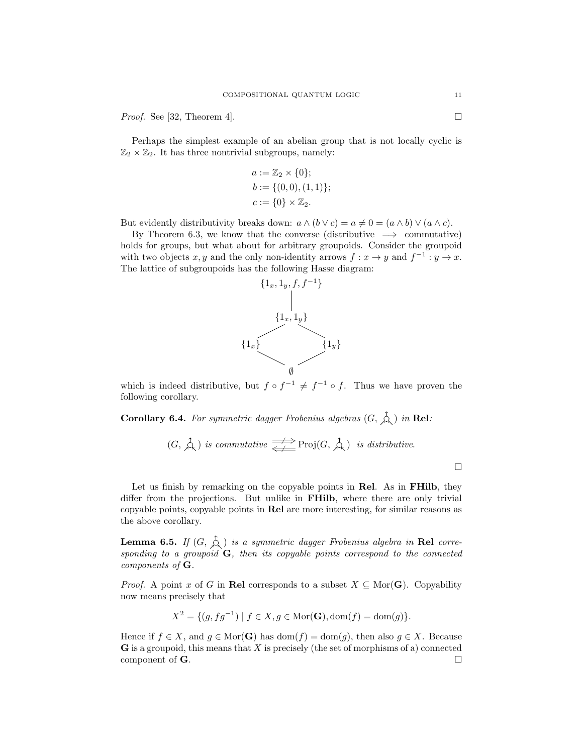*Proof.* See [32, Theorem 4].

Perhaps the simplest example of an abelian group that is not locally cyclic is  $\mathbb{Z}_2 \times \mathbb{Z}_2$ . It has three nontrivial subgroups, namely:

$$
a := \mathbb{Z}_2 \times \{0\};
$$
  
\n
$$
b := \{(0,0), (1,1)\};
$$
  
\n
$$
c := \{0\} \times \mathbb{Z}_2.
$$

But evidently distributivity breaks down:  $a \wedge (b \vee c) = a \neq 0 = (a \wedge b) \vee (a \wedge c)$ .

By Theorem 6.3, we know that the converse (distributive  $\implies$  commutative) holds for groups, but what about for arbitrary groupoids. Consider the groupoid with two objects x, y and the only non-identity arrows  $f: x \to y$  and  $f^{-1}: y \to x$ . The lattice of subgroupoids has the following Hasse diagram:



which is indeed distributive, but  $f \circ f^{-1} \neq f^{-1} \circ f$ . Thus we have proven the following corollary.

Corollary 6.4. For symmetric dagger Frobenius algebras  $(G, \overrightarrow{\mathcal{L}})$  in Rel:

$$
(G, \overrightarrow{A})
$$
 is commutative  $\overrightarrow{\Longleftarrow}$  Proj $(G, \overrightarrow{A})$  is distributive.

Let us finish by remarking on the copyable points in Rel. As in FHilb, they differ from the projections. But unlike in FHilb, where there are only trivial copyable points, copyable points in Rel are more interesting, for similar reasons as the above corollary.

**Lemma 6.5.** If  $(G, \hat{\uparrow}_{\mathcal{A}})$  is a symmetric dagger Frobenius algebra in Rel corresponding to a groupoid  $G$ , then its copyable points correspond to the connected components of G.

*Proof.* A point x of G in Rel corresponds to a subset  $X \subseteq \text{Mor}(\mathbf{G})$ . Copyability now means precisely that

$$
X^{2} = \{ (g, fg^{-1}) \mid f \in X, g \in \text{Mor}(\mathbf{G}), \text{dom}(f) = \text{dom}(g) \}.
$$

Hence if  $f \in X$ , and  $g \in \text{Mor}(\mathbf{G})$  has  $\text{dom}(f) = \text{dom}(g)$ , then also  $g \in X$ . Because  **is a groupoid, this means that X is precisely (the set of morphisms of a) connected** component of  $\mathbf G$ .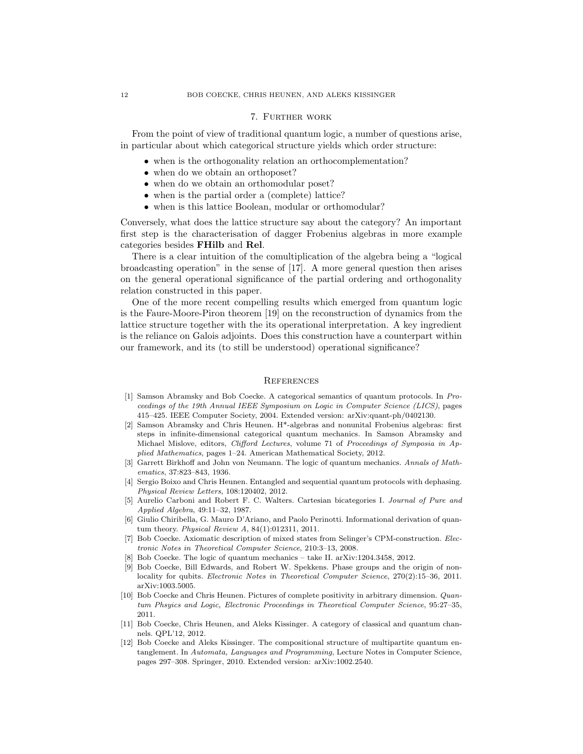### 7. Further work

From the point of view of traditional quantum logic, a number of questions arise, in particular about which categorical structure yields which order structure:

- when is the orthogonality relation an orthocomplementation?
- when do we obtain an orthoposet?
- when do we obtain an orthomodular poset?
- when is the partial order a (complete) lattice?
- when is this lattice Boolean, modular or orthomodular?

Conversely, what does the lattice structure say about the category? An important first step is the characterisation of dagger Frobenius algebras in more example categories besides FHilb and Rel.

There is a clear intuition of the comultiplication of the algebra being a "logical broadcasting operation" in the sense of [17]. A more general question then arises on the general operational significance of the partial ordering and orthogonality relation constructed in this paper.

One of the more recent compelling results which emerged from quantum logic is the Faure-Moore-Piron theorem [19] on the reconstruction of dynamics from the lattice structure together with the its operational interpretation. A key ingredient is the reliance on Galois adjoints. Does this construction have a counterpart within our framework, and its (to still be understood) operational significance?

#### **REFERENCES**

- [1] Samson Abramsky and Bob Coecke. A categorical semantics of quantum protocols. In Proceedings of the 19th Annual IEEE Symposium on Logic in Computer Science (LICS), pages 415–425. IEEE Computer Society, 2004. Extended version: arXiv:quant-ph/0402130.
- [2] Samson Abramsky and Chris Heunen. H\*-algebras and nonunital Frobenius algebras: first steps in infinite-dimensional categorical quantum mechanics. In Samson Abramsky and Michael Mislove, editors, Clifford Lectures, volume 71 of Proceedings of Symposia in Applied Mathematics, pages 1–24. American Mathematical Society, 2012.
- [3] Garrett Birkhoff and John von Neumann. The logic of quantum mechanics. Annals of Mathematics, 37:823–843, 1936.
- [4] Sergio Boixo and Chris Heunen. Entangled and sequential quantum protocols with dephasing. Physical Review Letters, 108:120402, 2012.
- [5] Aurelio Carboni and Robert F. C. Walters. Cartesian bicategories I. Journal of Pure and Applied Algebra, 49:11–32, 1987.
- [6] Giulio Chiribella, G. Mauro D'Ariano, and Paolo Perinotti. Informational derivation of quantum theory. Physical Review A, 84(1):012311, 2011.
- [7] Bob Coecke. Axiomatic description of mixed states from Selinger's CPM-construction. Electronic Notes in Theoretical Computer Science, 210:3–13, 2008.
- Bob Coecke. The logic of quantum mechanics take II. arXiv:1204.3458, 2012.
- [9] Bob Coecke, Bill Edwards, and Robert W. Spekkens. Phase groups and the origin of nonlocality for qubits. Electronic Notes in Theoretical Computer Science, 270(2):15-36, 2011. arXiv:1003.5005.
- [10] Bob Coecke and Chris Heunen. Pictures of complete positivity in arbitrary dimension. Quantum Phsyics and Logic, Electronic Proceedings in Theoretical Computer Science, 95:27–35, 2011.
- [11] Bob Coecke, Chris Heunen, and Aleks Kissinger. A category of classical and quantum channels. QPL'12, 2012.
- [12] Bob Coecke and Aleks Kissinger. The compositional structure of multipartite quantum entanglement. In Automata, Languages and Programming, Lecture Notes in Computer Science, pages 297–308. Springer, 2010. Extended version: arXiv:1002.2540.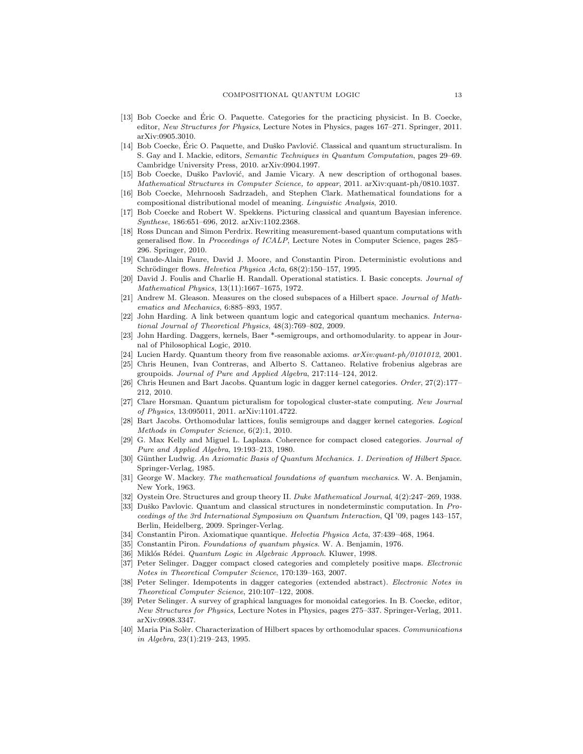- [13] Bob Coecke and Eric O. Paquette. Categories for the practicing physicist. In B. Coecke, ´ editor, New Structures for Physics, Lecture Notes in Physics, pages 167–271. Springer, 2011. arXiv:0905.3010.
- [14] Bob Coecke, Éric O. Paquette, and Duško Pavlović. Classical and quantum structuralism. In S. Gay and I. Mackie, editors, Semantic Techniques in Quantum Computation, pages 29–69. Cambridge University Press, 2010. arXiv:0904.1997.
- [15] Bob Coecke, Duško Pavlović, and Jamie Vicary. A new description of orthogonal bases. Mathematical Structures in Computer Science, to appear, 2011. arXiv:quant-ph/0810.1037.
- [16] Bob Coecke, Mehrnoosh Sadrzadeh, and Stephen Clark. Mathematical foundations for a compositional distributional model of meaning. Linguistic Analysis, 2010.
- [17] Bob Coecke and Robert W. Spekkens. Picturing classical and quantum Bayesian inference. Synthese, 186:651–696, 2012. arXiv:1102.2368.
- [18] Ross Duncan and Simon Perdrix. Rewriting measurement-based quantum computations with generalised flow. In Proceedings of ICALP, Lecture Notes in Computer Science, pages 285– 296. Springer, 2010.
- [19] Claude-Alain Faure, David J. Moore, and Constantin Piron. Deterministic evolutions and Schrödinger flows. Helvetica Physica Acta, 68(2):150–157, 1995.
- [20] David J. Foulis and Charlie H. Randall. Operational statistics. I. Basic concepts. Journal of Mathematical Physics, 13(11):1667–1675, 1972.
- [21] Andrew M. Gleason. Measures on the closed subspaces of a Hilbert space. Journal of Mathematics and Mechanics, 6:885–893, 1957.
- John Harding. A link between quantum logic and categorical quantum mechanics. International Journal of Theoretical Physics, 48(3):769–802, 2009.
- [23] John Harding. Daggers, kernels, Baer \*-semigroups, and orthomodularity. to appear in Journal of Philosophical Logic, 2010.
- [24] Lucien Hardy. Quantum theory from five reasonable axioms.  $arXiv:quant\text{-}ph/0101012$ , 2001.
- [25] Chris Heunen, Ivan Contreras, and Alberto S. Cattaneo. Relative frobenius algebras are groupoids. Journal of Pure and Applied Algebra, 217:114–124, 2012.
- [26] Chris Heunen and Bart Jacobs. Quantum logic in dagger kernel categories. Order, 27(2):177– 212, 2010.
- [27] Clare Horsman. Quantum picturalism for topological cluster-state computing. New Journal of Physics, 13:095011, 2011. arXiv:1101.4722.
- [28] Bart Jacobs. Orthomodular lattices, foulis semigroups and dagger kernel categories. Logical Methods in Computer Science, 6(2):1, 2010.
- [29] G. Max Kelly and Miguel L. Laplaza. Coherence for compact closed categories. Journal of Pure and Applied Algebra, 19:193–213, 1980.
- [30] Günther Ludwig. An Axiomatic Basis of Quantum Mechanics. 1. Derivation of Hilbert Space. Springer-Verlag, 1985.
- [31] George W. Mackey. The mathematical foundations of quantum mechanics. W. A. Benjamin, New York, 1963.
- [32] Oystein Ore. Structures and group theory II. Duke Mathematical Journal, 4(2):247–269, 1938.
- [33] Duško Pavlovic. Quantum and classical structures in nondeterminstic computation. In Proceedings of the 3rd International Symposium on Quantum Interaction, QI '09, pages 143–157, Berlin, Heidelberg, 2009. Springer-Verlag.
- [34] Constantin Piron. Axiomatique quantique. Helvetia Physica Acta, 37:439–468, 1964.
- [35] Constantin Piron. Foundations of quantum physics. W. A. Benjamin, 1976.
- [36] Miklós Rédei. Quantum Logic in Algebraic Approach. Kluwer, 1998.
- [37] Peter Selinger. Dagger compact closed categories and completely positive maps. Electronic Notes in Theoretical Computer Science, 170:139–163, 2007.
- [38] Peter Selinger. Idempotents in dagger categories (extended abstract). Electronic Notes in Theoretical Computer Science, 210:107–122, 2008.
- [39] Peter Selinger. A survey of graphical languages for monoidal categories. In B. Coecke, editor, New Structures for Physics, Lecture Notes in Physics, pages 275–337. Springer-Verlag, 2011. arXiv:0908.3347.
- [40] Maria Pia Solèr. Characterization of Hilbert spaces by orthomodular spaces. Communications in Algebra, 23(1):219–243, 1995.